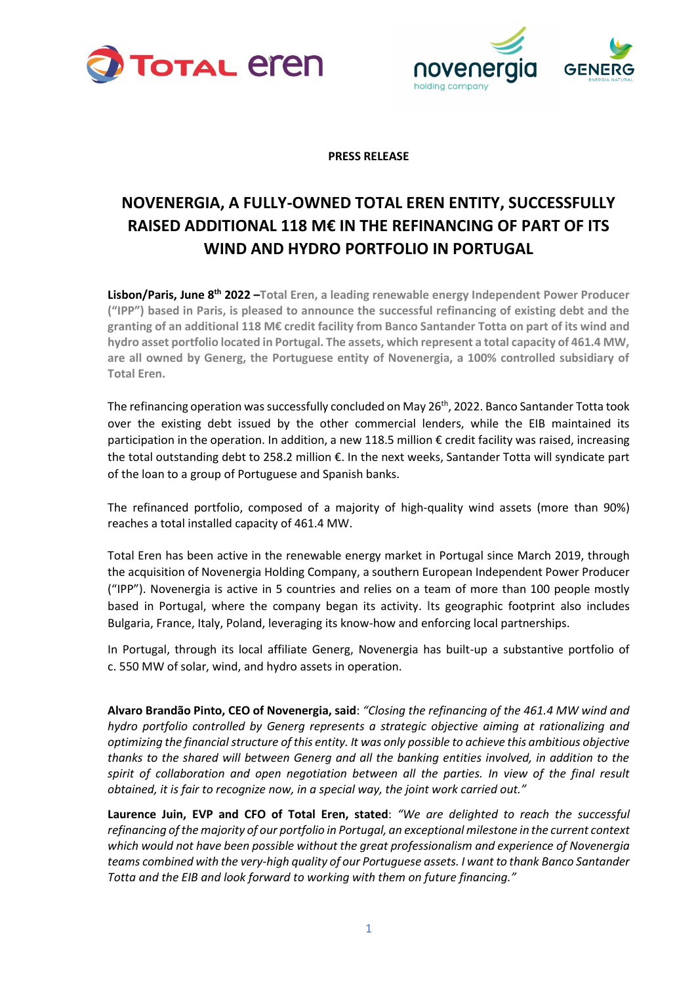



**PRESS RELEASE**

## **NOVENERGIA, A FULLY-OWNED TOTAL EREN ENTITY, SUCCESSFULLY RAISED ADDITIONAL 118 M€ IN THE REFINANCING OF PART OF ITS WIND AND HYDRO PORTFOLIO IN PORTUGAL**

Lisbon/Paris, June 8<sup>th</sup> 2022 -Total Eren, a leading renewable energy Independent Power Producer **("IPP") based in Paris, is pleased to announce the successful refinancing of existing debt and the granting of an additional 118 M€ credit facility from Banco Santander Totta on part of its wind and hydro asset portfolio located in Portugal. The assets, which represent a total capacity of 461.4 MW, are all owned by Generg, the Portuguese entity of Novenergia, a 100% controlled subsidiary of Total Eren.**

The refinancing operation was successfully concluded on May 26<sup>th</sup>, 2022. Banco Santander Totta took over the existing debt issued by the other commercial lenders, while the EIB maintained its participation in the operation. In addition, a new 118.5 million € credit facility was raised, increasing the total outstanding debt to 258.2 million €. In the next weeks, Santander Totta will syndicate part of the loan to a group of Portuguese and Spanish banks.

The refinanced portfolio, composed of a majority of high-quality wind assets (more than 90%) reaches a total installed capacity of 461.4 MW.

Total Eren has been active in the renewable energy market in Portugal since March 2019, through the acquisition of Novenergia Holding Company, a southern European Independent Power Producer ("IPP"). Novenergia is active in 5 countries and relies on a team of more than 100 people mostly based in Portugal, where the company began its activity. Its geographic footprint also includes Bulgaria, France, Italy, Poland, leveraging its know-how and enforcing local partnerships.

In Portugal, through its local affiliate Generg, Novenergia has built-up a substantive portfolio of c. 550 MW of solar, wind, and hydro assets in operation.

**Alvaro Brandão Pinto, CEO of Novenergia, said**: *"Closing the refinancing of the 461.4 MW wind and hydro portfolio controlled by Generg represents a strategic objective aiming at rationalizing and optimizing the financial structure of this entity. It was only possible to achieve this ambitious objective thanks to the shared will between Generg and all the banking entities involved, in addition to the*  spirit of collaboration and open negotiation between all the parties. In view of the final result *obtained, it is fair to recognize now, in a special way, the joint work carried out."*

**Laurence Juin, EVP and CFO of Total Eren, stated**: *"We are delighted to reach the successful refinancing of the majority of our portfolio in Portugal, an exceptional milestone in the current context which would not have been possible without the great professionalism and experience of Novenergia teams combined with the very-high quality of our Portuguese assets. I want to thank Banco Santander Totta and the EIB and look forward to working with them on future financing."*